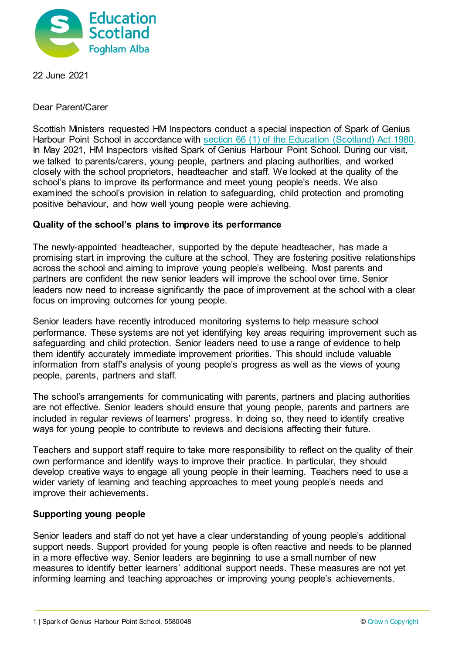

22 June 2021

Dear Parent/Carer

Scottish Ministers requested HM Inspectors conduct a special inspection of Spark of Genius Harbour Point School in accordance with [section 66 \(1\) of the Education \(Scotland\) Act 1980.](http://www.legislation.gov.uk/ukpga/1980/44/section/66) In May 2021, HM Inspectors visited Spark of Genius Harbour Point School. During our visit, we talked to parents/carers, young people, partners and placing authorities, and worked closely with the school proprietors, headteacher and staff. We looked at the quality of the school's plans to improve its performance and meet young people's needs. We also examined the school's provision in relation to safeguarding, child protection and promoting positive behaviour, and how well young people were achieving.

## **Quality of the school's plans to improve its performance**

The newly-appointed headteacher, supported by the depute headteacher, has made a promising start in improving the culture at the school. They are fostering positive relationships across the school and aiming to improve young people's wellbeing. Most parents and partners are confident the new senior leaders will improve the school over time. Senior leaders now need to increase significantly the pace of improvement at the school with a clear focus on improving outcomes for young people.

Senior leaders have recently introduced monitoring systems to help measure school performance. These systems are not yet identifying key areas requiring improvement such as safeguarding and child protection. Senior leaders need to use a range of evidence to help them identify accurately immediate improvement priorities. This should include valuable information from staff's analysis of young people's progress as well as the views of young people, parents, partners and staff.

The school's arrangements for communicating with parents, partners and placing authorities are not effective. Senior leaders should ensure that young people, parents and partners are included in regular reviews of learners' progress. In doing so, they need to identify creative ways for young people to contribute to reviews and decisions affecting their future.

Teachers and support staff require to take more responsibility to reflect on the quality of their own performance and identify ways to improve their practice. In particular, they should develop creative ways to engage all young people in their learning. Teachers need to use a wider variety of learning and teaching approaches to meet young people's needs and improve their achievements.

## **Supporting young people**

Senior leaders and staff do not yet have a clear understanding of young people's additional support needs. Support provided for young people is often reactive and needs to be planned in a more effective way. Senior leaders are beginning to use a small number of new measures to identify better learners' additional support needs. These measures are not yet informing learning and teaching approaches or improving young people's achievements.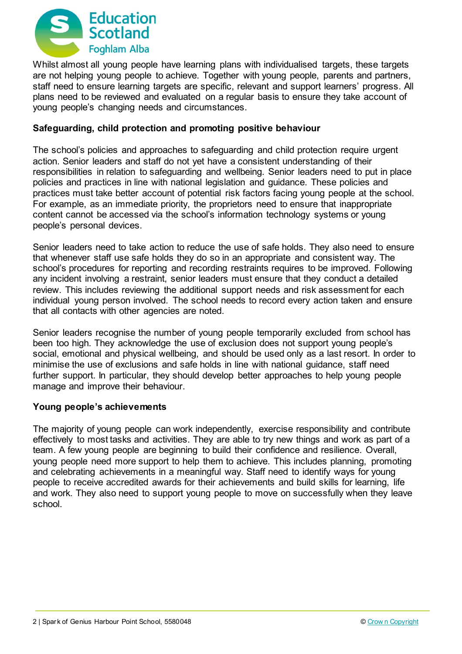

Whilst almost all young people have learning plans with individualised targets, these targets are not helping young people to achieve. Together with young people, parents and partners, staff need to ensure learning targets are specific, relevant and support learners' progress. All plans need to be reviewed and evaluated on a regular basis to ensure they take account of young people's changing needs and circumstances.

## **Safeguarding, child protection and promoting positive behaviour**

The school's policies and approaches to safeguarding and child protection require urgent action. Senior leaders and staff do not yet have a consistent understanding of their responsibilities in relation to safeguarding and wellbeing. Senior leaders need to put in place policies and practices in line with national legislation and guidance. These policies and practices must take better account of potential risk factors facing young people at the school. For example, as an immediate priority, the proprietors need to ensure that inappropriate content cannot be accessed via the school's information technology systems or young people's personal devices.

Senior leaders need to take action to reduce the use of safe holds. They also need to ensure that whenever staff use safe holds they do so in an appropriate and consistent way. The school's procedures for reporting and recording restraints requires to be improved. Following any incident involving a restraint, senior leaders must ensure that they conduct a detailed review. This includes reviewing the additional support needs and risk assessment for each individual young person involved. The school needs to record every action taken and ensure that all contacts with other agencies are noted.

Senior leaders recognise the number of young people temporarily excluded from school has been too high. They acknowledge the use of exclusion does not support young people's social, emotional and physical wellbeing, and should be used only as a last resort. In order to minimise the use of exclusions and safe holds in line with national guidance, staff need further support. In particular, they should develop better approaches to help young people manage and improve their behaviour.

#### **Young people's achievements**

The majority of young people can work independently, exercise responsibility and contribute effectively to most tasks and activities. They are able to try new things and work as part of a team. A few young people are beginning to build their confidence and resilience. Overall, young people need more support to help them to achieve. This includes planning, promoting and celebrating achievements in a meaningful way. Staff need to identify ways for young people to receive accredited awards for their achievements and build skills for learning, life and work. They also need to support young people to move on successfully when they leave school.